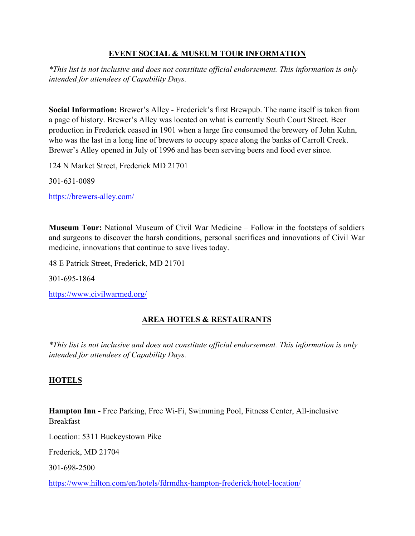### **EVENT SOCIAL & MUSEUM TOUR INFORMATION**

*\*This list is not inclusive and does not constitute official endorsement. This information is only intended for attendees of Capability Days.*

**Social Information:** Brewer's Alley - Frederick's first Brewpub. The name itself is taken from a page of history. Brewer's Alley was located on what is currently South Court Street. Beer production in Frederick ceased in 1901 when a large fire consumed the brewery of John Kuhn, who was the last in a long line of brewers to occupy space along the banks of Carroll Creek. Brewer's Alley opened in July of 1996 and has been serving beers and food ever since.

124 N Market Street, Frederick MD 21701

301-631-0089

<https://brewers-alley.com/>

**Museum Tour:** National Museum of Civil War Medicine – Follow in the footsteps of soldiers and surgeons to discover the harsh conditions, personal sacrifices and innovations of Civil War medicine, innovations that continue to save lives today.

48 E Patrick Street, Frederick, MD 21701

301-695-1864

<https://www.civilwarmed.org/>

# **AREA HOTELS & RESTAURANTS**

*\*This list is not inclusive and does not constitute official endorsement. This information is only intended for attendees of Capability Days.*

### **HOTELS**

**Hampton Inn -** Free Parking, Free Wi-Fi, Swimming Pool, Fitness Center, All-inclusive Breakfast

Location: 5311 Buckeystown Pike

[Frederick, MD](https://www.google.com/search?q=Hamptom+Inn+Buckeys+Town+Pike) 21704

[301-698-2500](https://www.hilton.com/en/hotels/fdrmdhx-hampton-frederick/hotel-location/)

https://www.hilton.com/en/hotels/fdrmdhx-hampton-frederick/hotel-location/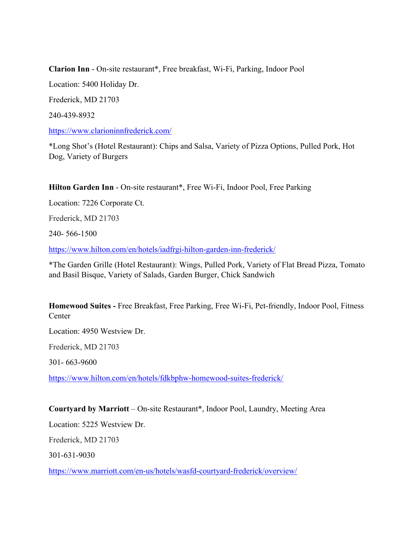**Clarion Inn** - On-site restaurant\*, Free breakfast, Wi-Fi, Parking, Indoor Pool

Location: 5400 Holiday Dr.

Frederick, MD 21703

[240-439-8932](https://www.google.com/search?q=Clarion+Inn+Holiday+Drive)

<https://www.clarioninnfrederick.com/>

\*Long Shot's (Hotel Restaurant): Chips and Salsa, Variety of Pizza Options, Pulled Pork, Hot Dog, Variety of Burgers

**Hilton Garden Inn** - On-site restaurant\*, Free Wi-Fi, Indoor Pool, Free Parking

Location: 7226 Corporate Ct.

Frederick, MD 21703

240- 566-1500

<https://www.hilton.com/en/hotels/iadfrgi-hilton-garden-inn-frederick/>

\*The Garden Grille (Hotel Restaurant): Wings, Pulled Pork, Variety of Flat Bread Pizza, Tomato and Basil Bisque, Variety of Salads, Garden Burger, Chick Sandwich

**Homewood Suites -** Free Breakfast, Free Parking, Free Wi-Fi, Pet-friendly, Indoor Pool, Fitness **Center** 

Location: 4950 Westview Dr.

Frederick, MD 21703

301- 663-9600

<https://www.hilton.com/en/hotels/fdkbphw-homewood-suites-frederick/>

**Courtyard by Marriott** – On-site Restaurant\*, Indoor Pool, Laundry, Meeting Area

Location: 5225 Westview Dr.

Frederick, MD 21703

301-631-9030

<https://www.marriott.com/en-us/hotels/wasfd-courtyard-frederick/overview/>